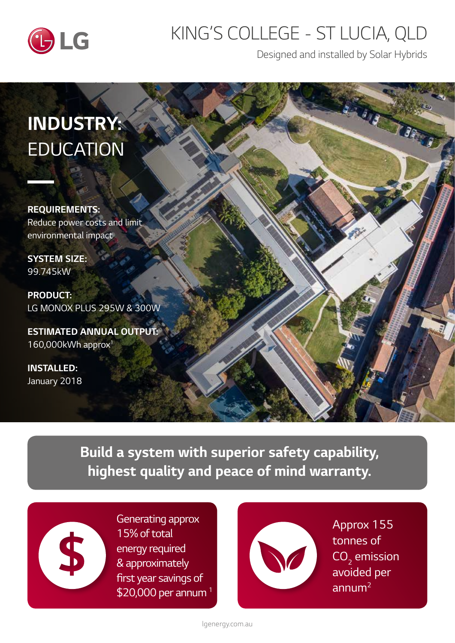

## *KING'S COLLEGE - ST LUCIA, QLD*

*Designed and installed by Solar Hybrids*

# *INDUSTRY: EDUCATION*

*REQUIREMENTS: Reduce power costs and limit environmental impact*

*SYSTEM SIZE: 99.745kW*

*PRODUCT: LG MONOX PLUS 295W & 300W*

*ESTIMATED ANNUAL OUTPUT: 160,000kWh approx1*

*INSTALLED: January 2018*

> *Build a system with superior safety capability, highest quality and peace of mind warranty.*



*Generating approx 15% of total energy required & approximately*  first year savings of *\$20,000 per annum 1*



*Approx 155 tonnes of*  CO<sub>2</sub> emission *avoided per annum2*